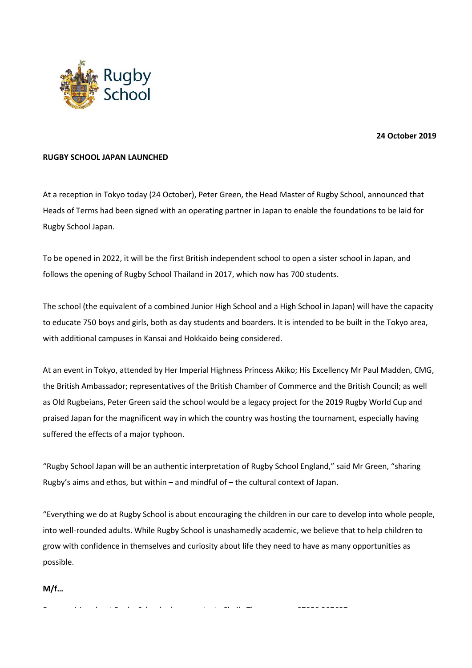

## **24 October 2019**

## **RUGBY SCHOOL JAPAN LAUNCHED**

At a reception in Tokyo today (24 October), Peter Green, the Head Master of Rugby School, announced that Heads of Terms had been signed with an operating partner in Japan to enable the foundations to be laid for Rugby School Japan.

To be opened in 2022, it will be the first British independent school to open a sister school in Japan, and follows the opening of Rugby School Thailand in 2017, which now has 700 students.

The school (the equivalent of a combined Junior High School and a High School in Japan) will have the capacity to educate 750 boys and girls, both as day students and boarders. It is intended to be built in the Tokyo area, with additional campuses in Kansai and Hokkaido being considered.

At an event in Tokyo, attended by Her Imperial Highness Princess Akiko; His Excellency Mr Paul Madden, CMG, the British Ambassador; representatives of the British Chamber of Commerce and the British Council; as well as Old Rugbeians, Peter Green said the school would be a legacy project for the 2019 Rugby World Cup and praised Japan for the magnificent way in which the country was hosting the tournament, especially having suffered the effects of a major typhoon.

"Rugby School Japan will be an authentic interpretation of Rugby School England," said Mr Green, "sharing Rugby's aims and ethos, but within – and mindful of – the cultural context of Japan.

"Everything we do at Rugby School is about encouraging the children in our care to develop into whole people, into well-rounded adults. While Rugby School is unashamedly academic, we believe that to help children to grow with confidence in themselves and curiosity about life they need to have as many opportunities as possible.

**M/f…**

For enquiries about Rugby School, please contact: Sheila Thompson on 07958 307637